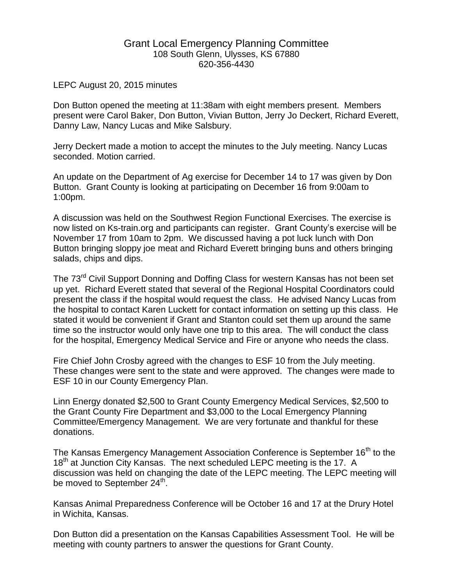## Grant Local Emergency Planning Committee 108 South Glenn, Ulysses, KS 67880 620-356-4430

## LEPC August 20, 2015 minutes

Don Button opened the meeting at 11:38am with eight members present. Members present were Carol Baker, Don Button, Vivian Button, Jerry Jo Deckert, Richard Everett, Danny Law, Nancy Lucas and Mike Salsbury.

Jerry Deckert made a motion to accept the minutes to the July meeting. Nancy Lucas seconded. Motion carried.

An update on the Department of Ag exercise for December 14 to 17 was given by Don Button. Grant County is looking at participating on December 16 from 9:00am to 1:00pm.

A discussion was held on the Southwest Region Functional Exercises. The exercise is now listed on Ks-train.org and participants can register. Grant County's exercise will be November 17 from 10am to 2pm. We discussed having a pot luck lunch with Don Button bringing sloppy joe meat and Richard Everett bringing buns and others bringing salads, chips and dips.

The 73<sup>rd</sup> Civil Support Donning and Doffing Class for western Kansas has not been set up yet. Richard Everett stated that several of the Regional Hospital Coordinators could present the class if the hospital would request the class. He advised Nancy Lucas from the hospital to contact Karen Luckett for contact information on setting up this class. He stated it would be convenient if Grant and Stanton could set them up around the same time so the instructor would only have one trip to this area. The will conduct the class for the hospital, Emergency Medical Service and Fire or anyone who needs the class.

Fire Chief John Crosby agreed with the changes to ESF 10 from the July meeting. These changes were sent to the state and were approved. The changes were made to ESF 10 in our County Emergency Plan.

Linn Energy donated \$2,500 to Grant County Emergency Medical Services, \$2,500 to the Grant County Fire Department and \$3,000 to the Local Emergency Planning Committee/Emergency Management. We are very fortunate and thankful for these donations.

The Kansas Emergency Management Association Conference is September 16<sup>th</sup> to the 18<sup>th</sup> at Junction City Kansas. The next scheduled LEPC meeting is the 17. A discussion was held on changing the date of the LEPC meeting. The LEPC meeting will be moved to September 24<sup>th</sup>.

Kansas Animal Preparedness Conference will be October 16 and 17 at the Drury Hotel in Wichita, Kansas.

Don Button did a presentation on the Kansas Capabilities Assessment Tool. He will be meeting with county partners to answer the questions for Grant County.